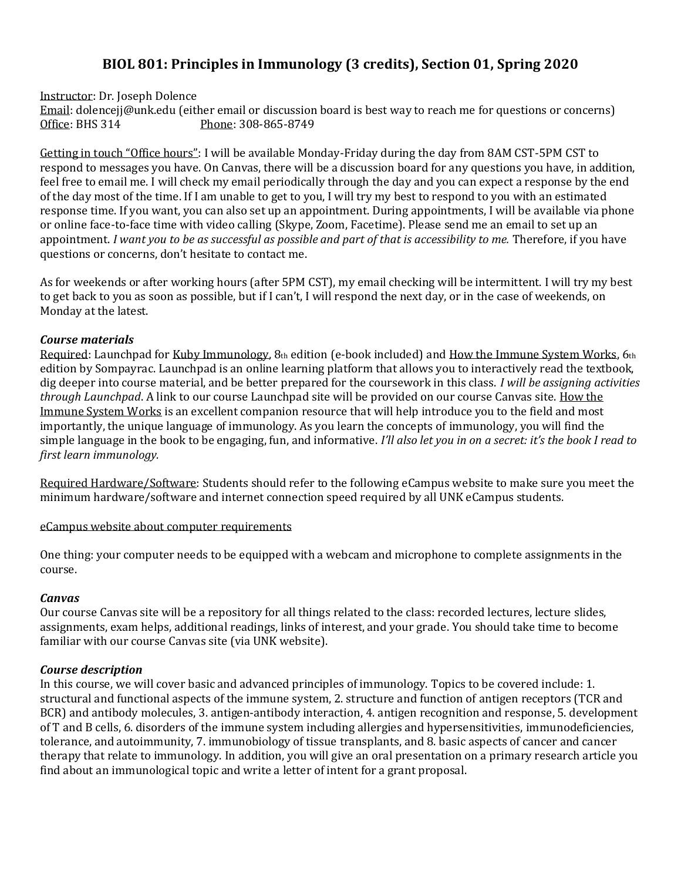# **BIOL 801: Principles in Immunology (3 credits), Section 01, Spring 2020**

Instructor: Dr. Joseph Dolence

Email: dolencejj@unk.edu (either email or discussion board is best way to reach me for questions or concerns) Office: BHS 314 Phone: 308-865-8749

Getting in touch "Office hours": I will be available Monday-Friday during the day from 8AM CST-5PM CST to respond to messages you have. On Canvas, there will be a discussion board for any questions you have, in addition, feel free to email me. I will check my email periodically through the day and you can expect a response by the end of the day most of the time. If I am unable to get to you, I will try my best to respond to you with an estimated response time. If you want, you can also set up an appointment. During appointments, I will be available via phone or online face-to-face time with video calling (Skype, Zoom, Facetime). Please send me an email to set up an appointment. *I want you to be as successful as possible and part of that is accessibility to me.* Therefore, if you have questions or concerns, don't hesitate to contact me.

As for weekends or after working hours (after 5PM CST), my email checking will be intermittent. I will try my best to get back to you as soon as possible, but if I can't, I will respond the next day, or in the case of weekends, on Monday at the latest.

## *Course materials*

Required: Launchpad for Kuby Immunology, 8th edition (e-book included) and How the Immune System Works, 6th edition by Sompayrac. Launchpad is an online learning platform that allows you to interactively read the textbook, dig deeper into course material, and be better prepared for the coursework in this class. *I will be assigning activities through Launchpad*. A link to our course Launchpad site will be provided on our course Canvas site. How the Immune System Works is an excellent companion resource that will help introduce you to the field and most importantly, the unique language of immunology. As you learn the concepts of immunology, you will find the simple language in the book to be engaging, fun, and informative. *I'll also let you in on a secret: it's the book I read to first learn immunology.*

Required Hardware/Software: Students should refer to the following eCampus website to make sure you meet the minimum hardware/software and internet connection speed required by all UNK eCampus students.

[eCampus website about computer requirements](http://www.unk.edu/academics/ecampus/resources-info/students/technology/requirements.php)

One thing: your computer needs to be equipped with a webcam and microphone to complete assignments in the course.

# *Canvas*

Our course Canvas site will be a repository for all things related to the class: recorded lectures, lecture slides, assignments, exam helps, additional readings, links of interest, and your grade. You should take time to become familiar with our course Canvas site (via UNK website).

# *Course description*

In this course, we will cover basic and advanced principles of immunology. Topics to be covered include: 1. structural and functional aspects of the immune system, 2. structure and function of antigen receptors (TCR and BCR) and antibody molecules, 3. antigen-antibody interaction, 4. antigen recognition and response, 5. development of T and B cells, 6. disorders of the immune system including allergies and hypersensitivities, immunodeficiencies, tolerance, and autoimmunity, 7. immunobiology of tissue transplants, and 8. basic aspects of cancer and cancer therapy that relate to immunology. In addition, you will give an oral presentation on a primary research article you find about an immunological topic and write a letter of intent for a grant proposal.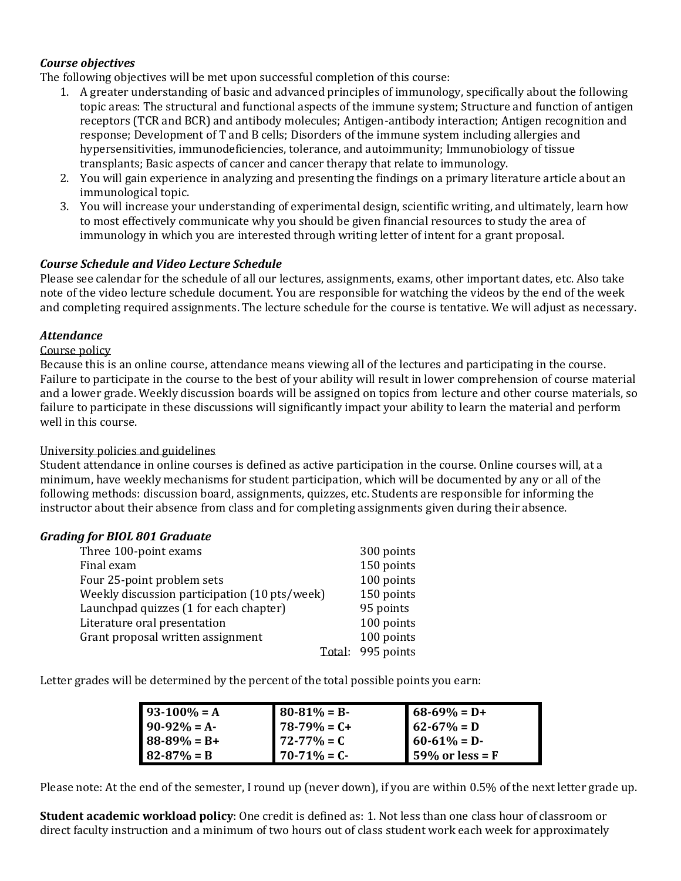# *Course objectives*

The following objectives will be met upon successful completion of this course:

- 1. A greater understanding of basic and advanced principles of immunology, specifically about the following topic areas: The structural and functional aspects of the immune system; Structure and function of antigen receptors (TCR and BCR) and antibody molecules; Antigen-antibody interaction; Antigen recognition and response; Development of T and B cells; Disorders of the immune system including allergies and hypersensitivities, immunodeficiencies, tolerance, and autoimmunity; Immunobiology of tissue transplants; Basic aspects of cancer and cancer therapy that relate to immunology.
- 2. You will gain experience in analyzing and presenting the findings on a primary literature article about an immunological topic.
- 3. You will increase your understanding of experimental design, scientific writing, and ultimately, learn how to most effectively communicate why you should be given financial resources to study the area of immunology in which you are interested through writing letter of intent for a grant proposal.

## *Course Schedule and Video Lecture Schedule*

Please see calendar for the schedule of all our lectures, assignments, exams, other important dates, etc. Also take note of the video lecture schedule document. You are responsible for watching the videos by the end of the week and completing required assignments. The lecture schedule for the course is tentative. We will adjust as necessary.

## *Attendance*

#### Course policy

Because this is an online course, attendance means viewing all of the lectures and participating in the course. Failure to participate in the course to the best of your ability will result in lower comprehension of course material and a lower grade. Weekly discussion boards will be assigned on topics from lecture and other course materials, so failure to participate in these discussions will significantly impact your ability to learn the material and perform well in this course.

#### University policies and guidelines

Student attendance in online courses is defined as active participation in the course. Online courses will, at a minimum, have weekly mechanisms for student participation, which will be documented by any or all of the following methods: discussion board, assignments, quizzes, etc. Students are responsible for informing the instructor about their absence from class and for completing assignments given during their absence.

#### *Grading for BIOL 801 Graduate*

| Three 100-point exams                         | 300 points |
|-----------------------------------------------|------------|
| Final exam                                    | 150 points |
| Four 25-point problem sets                    | 100 points |
| Weekly discussion participation (10 pts/week) | 150 points |
| Launchpad quizzes (1 for each chapter)        | 95 points  |
| Literature oral presentation                  | 100 points |
| Grant proposal written assignment             | 100 points |
| Total:                                        | 995 points |

Letter grades will be determined by the percent of the total possible points you earn:

| $93-100% = A$   | $80-81\% = B$    | $68-69\% = D+$              |
|-----------------|------------------|-----------------------------|
| $90-92% = A$    | $78-79% = C+$    | $\blacksquare$ 62-67% = D   |
| $88-89\% = B+$  | $172 - 77\% = C$ | $60-61\% = D$               |
| $82 - 87\% = B$ | $70-71\% = C$    | $\parallel$ 59% or less = F |

Please note: At the end of the semester, I round up (never down), if you are within 0.5% of the next letter grade up.

**Student academic workload policy**: One credit is defined as: 1. Not less than one class hour of classroom or direct faculty instruction and a minimum of two hours out of class student work each week for approximately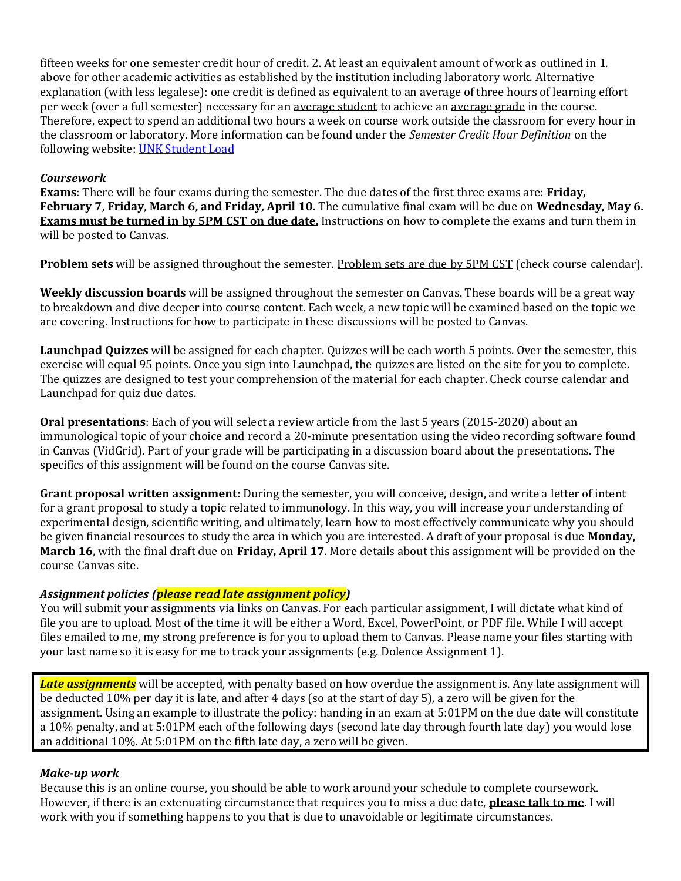fifteen weeks for one semester credit hour of credit. 2. At least an equivalent amount of work as outlined in 1. above for other academic activities as established by the institution including laboratory work. Alternative explanation (with less legalese): one credit is defined as equivalent to an average of three hours of learning effort per week (over a full semester) necessary for an average student to achieve an average grade in the course. Therefore, expect to spend an additional two hours a week on course work outside the classroom for every hour in the classroom or laboratory. More information can be found under the *Semester Credit Hour Definition* on the following website: [UNK Student Load](https://catalog.unk.edu/undergraduate/academics/academic-regulations/student-load/)

## *Coursework*

**Exams**: There will be four exams during the semester. The due dates of the first three exams are: **Friday, February 7, Friday, March 6, and Friday, April 10.** The cumulative final exam will be due on **Wednesday, May 6. Exams must be turned in by 5PM CST on due date.** Instructions on how to complete the exams and turn them in will be posted to Canvas.

**Problem sets** will be assigned throughout the semester. Problem sets are due by 5PM CST (check course calendar).

**Weekly discussion boards** will be assigned throughout the semester on Canvas. These boards will be a great way to breakdown and dive deeper into course content. Each week, a new topic will be examined based on the topic we are covering. Instructions for how to participate in these discussions will be posted to Canvas.

**Launchpad Quizzes** will be assigned for each chapter. Quizzes will be each worth 5 points. Over the semester, this exercise will equal 95 points. Once you sign into Launchpad, the quizzes are listed on the site for you to complete. The quizzes are designed to test your comprehension of the material for each chapter. Check course calendar and Launchpad for quiz due dates.

**Oral presentations**: Each of you will select a review article from the last 5 years (2015-2020) about an immunological topic of your choice and record a 20-minute presentation using the video recording software found in Canvas (VidGrid). Part of your grade will be participating in a discussion board about the presentations. The specifics of this assignment will be found on the course Canvas site.

**Grant proposal written assignment:** During the semester, you will conceive, design, and write a letter of intent for a grant proposal to study a topic related to immunology. In this way, you will increase your understanding of experimental design, scientific writing, and ultimately, learn how to most effectively communicate why you should be given financial resources to study the area in which you are interested. A draft of your proposal is due **Monday, March 16**, with the final draft due on **Friday, April 17**. More details about this assignment will be provided on the course Canvas site.

# *Assignment policies (please read late assignment policy)*

You will submit your assignments via links on Canvas. For each particular assignment, I will dictate what kind of file you are to upload. Most of the time it will be either a Word, Excel, PowerPoint, or PDF file. While I will accept files emailed to me, my strong preference is for you to upload them to Canvas. Please name your files starting with your last name so it is easy for me to track your assignments (e.g. Dolence Assignment 1).

*Late assignments* will be accepted, with penalty based on how overdue the assignment is. Any late assignment will be deducted 10% per day it is late, and after 4 days (so at the start of day 5), a zero will be given for the assignment. Using an example to illustrate the policy: handing in an exam at 5:01PM on the due date will constitute a 10% penalty, and at 5:01PM each of the following days (second late day through fourth late day) you would lose an additional 10%. At 5:01PM on the fifth late day, a zero will be given.

#### *Make-up work*

Because this is an online course, you should be able to work around your schedule to complete coursework. However, if there is an extenuating circumstance that requires you to miss a due date, **please talk to me**. I will work with you if something happens to you that is due to unavoidable or legitimate circumstances.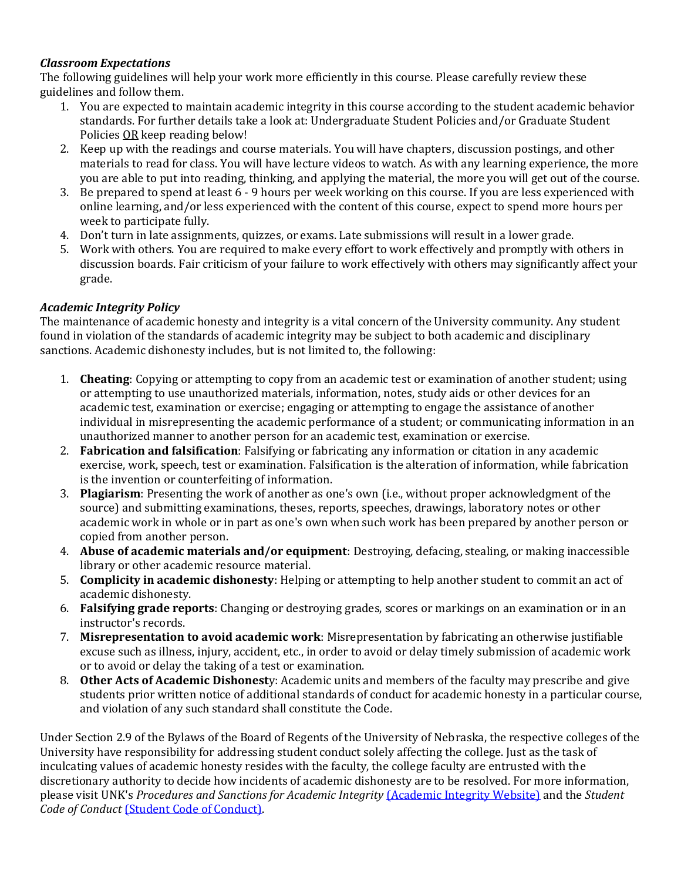# *Classroom Expectations*

The following guidelines will help your work more efficiently in this course. Please carefully review these guidelines and follow them.

- 1. You are expected to maintain academic integrity in this course according to the student academic behavior standards. For further details take a look at: Undergraduate Student Policies and/or Graduate Student Policies OR keep reading below!
- 2. Keep up with the readings and course materials. You will have chapters, discussion postings, and other materials to read for class. You will have lecture videos to watch. As with any learning experience, the more you are able to put into reading, thinking, and applying the material, the more you will get out of the course.
- 3. Be prepared to spend at least 6 9 hours per week working on this course. If you are less experienced with online learning, and/or less experienced with the content of this course, expect to spend more hours per week to participate fully.
- 4. Don't turn in late assignments, quizzes, or exams. Late submissions will result in a lower grade.
- 5. Work with others. You are required to make every effort to work effectively and promptly with others in discussion boards. Fair criticism of your failure to work effectively with others may significantly affect your grade.

# *Academic Integrity Policy*

The maintenance of academic honesty and integrity is a vital concern of the University community. Any student found in violation of the standards of academic integrity may be subject to both academic and disciplinary sanctions. Academic dishonesty includes, but is not limited to, the following:

- 1. **Cheating**: Copying or attempting to copy from an academic test or examination of another student; using or attempting to use unauthorized materials, information, notes, study aids or other devices for an academic test, examination or exercise; engaging or attempting to engage the assistance of another individual in misrepresenting the academic performance of a student; or communicating information in an unauthorized manner to another person for an academic test, examination or exercise.
- 2. **Fabrication and falsification**: Falsifying or fabricating any information or citation in any academic exercise, work, speech, test or examination. Falsification is the alteration of information, while fabrication is the invention or counterfeiting of information.
- 3. **Plagiarism**: Presenting the work of another as one's own (i.e., without proper acknowledgment of the source) and submitting examinations, theses, reports, speeches, drawings, laboratory notes or other academic work in whole or in part as one's own when such work has been prepared by another person or copied from another person.
- 4. **Abuse of academic materials and/or equipment**: Destroying, defacing, stealing, or making inaccessible library or other academic resource material.
- 5. **Complicity in academic dishonesty**: Helping or attempting to help another student to commit an act of academic dishonesty.
- 6. **Falsifying grade reports**: Changing or destroying grades, scores or markings on an examination or in an instructor's records.
- 7. **Misrepresentation to avoid academic work**: Misrepresentation by fabricating an otherwise justifiable excuse such as illness, injury, accident, etc., in order to avoid or delay timely submission of academic work or to avoid or delay the taking of a test or examination.
- 8. **Other Acts of Academic Dishonest**y: Academic units and members of the faculty may prescribe and give students prior written notice of additional standards of conduct for academic honesty in a particular course, and violation of any such standard shall constitute the Code.

Under Section 2.9 of the Bylaws of the Board of Regents of the University of Nebraska, the respective colleges of the University have responsibility for addressing student conduct solely affecting the college. Just as the task of inculcating values of academic honesty resides with the faculty, the college faculty are entrusted with the discretionary authority to decide how incidents of academic dishonesty are to be resolved. For more information, please visit UNK's *Procedures and Sanctions for Academic Integrity* [\(Academic Integrity Website\)](https://www.unk.edu/offices/reslife/_documents/academic-integrity-policy.pdf) and the *Student Code of Conduct* [\(Student Code of Conduct\).](https://www.unk.edu/offices/reslife/_documents/university-of-nebraska-at-kearney-student-code-of-conduct.pdf)